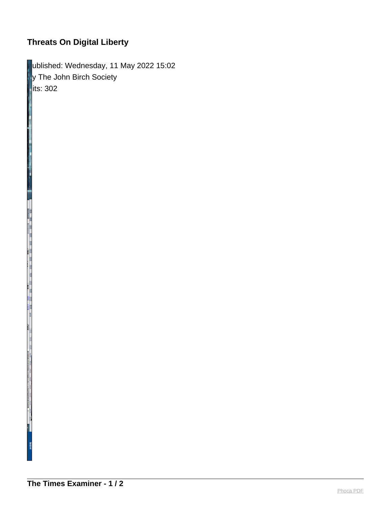## **Threats On Digital Liberty**

Published: Wednesday, 11 May 2022 15:02 **By The John Birch Society**  $\parallel$ its: 302